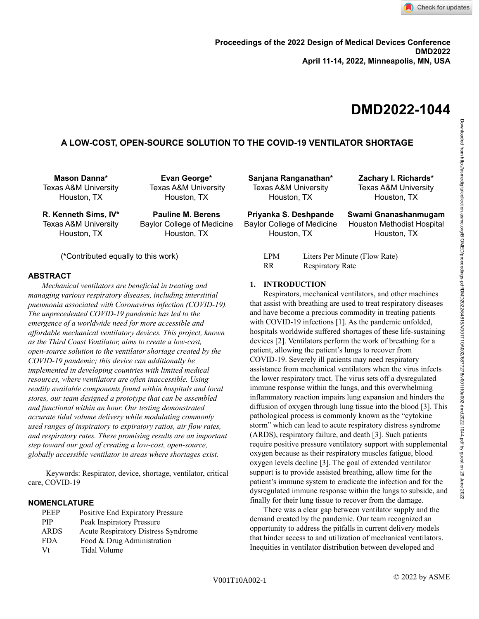# **DMD2022-1044**

# **A LOW-COST, OPEN-SOURCE SOLUTION TO THE COVID-19 VENTILATOR SHORTAGE**

**Mason Danna\*** Texas A&M University Houston, TX

**Evan George\*** Texas A&M University Houston, TX

**R. Kenneth Sims, IV\*** Texas A&M University Houston, TX

**Pauline M. Berens** Baylor College of Medicine Houston, TX

(**\***Contributed equally to this work)

# **ABSTRACT**

*Mechanical ventilators are beneficial in treating and managing various respiratory diseases, including interstitial pneumonia associated with Coronavirus infection (COVID-19). The unprecedented COVID-19 pandemic has led to the emergence of a worldwide need for more accessible and affordable mechanical ventilatory devices. This project, known as the Third Coast Ventilator, aims to create a low-cost, open-source solution to the ventilator shortage created by the COVID-19 pandemic; this device can additionally be implemented in developing countries with limited medical resources, where ventilators are often inaccessible. Using readily available components found within hospitals and local stores, our team designed a prototype that can be assembled and functional within an hour. Our testing demonstrated accurate tidal volume delivery while modulating commonly used ranges of inspiratory to expiratory ratios, air flow rates, and respiratory rates. These promising results are an important step toward our goal of creating a low-cost, open-source, globally accessible ventilator in areas where shortages exist.*

Keywords: Respirator, device, shortage, ventilator, critical care, COVID-19

# **NOMENCLATURE**

| <b>PEEP</b> | Positive End Expiratory Pressure    |
|-------------|-------------------------------------|
| <b>PIP</b>  | Peak Inspiratory Pressure           |
| <b>ARDS</b> | Acute Respiratory Distress Syndrome |
| <b>FDA</b>  | Food & Drug Administration          |
| Vt          | Tidal Volume                        |
|             |                                     |

**Sanjana Ranganathan\*** Texas A&M University Houston, TX

**Priyanka S. Deshpande** Baylor College of Medicine Houston, TX

**Swami Gnanashanmugam** Houston Methodist Hospital Houston, TX

**Zachary I. Richards\*** Texas A&M University Houston, TX

| LPM | Liters Per Minute (Flow Rate) |
|-----|-------------------------------|
| RR  | <b>Respiratory Rate</b>       |

#### **1. INTRODUCTION**

Respirators, mechanical ventilators, and other machines that assist with breathing are used to treat respiratory diseases and have become a precious commodity in treating patients with COVID-19 infections [1]. As the pandemic unfolded, hospitals worldwide suffered shortages of these life-sustaining devices [2]. Ventilators perform the work of breathing for a patient, allowing the patient's lungs to recover from COVID-19. Severely ill patients may need respiratory assistance from mechanical ventilators when the virus infects the lower respiratory tract. The virus sets off a dysregulated immune response within the lungs, and this overwhelming inflammatory reaction impairs lung expansion and hinders the diffusion of oxygen through lung tissue into the blood [3]. This pathological process is commonly known as the "cytokine storm" which can lead to acute respiratory distress syndrome (ARDS), respiratory failure, and death [3]. Such patients require positive pressure ventilatory support with supplemental oxygen because as their respiratory muscles fatigue, blood oxygen levels decline [3]. The goal of extended ventilator support is to provide assisted breathing, allow time for the patient's immune system to eradicate the infection and for the dysregulated immune response within the lungs to subside, and finally for their lung tissue to recover from the damage.

There was a clear gap between ventilator supply and the demand created by the pandemic. Our team recognized an opportunity to address the pitfalls in current delivery models that hinder access to and utilization of mechanical ventilators. Inequities in ventilator distribution between developed and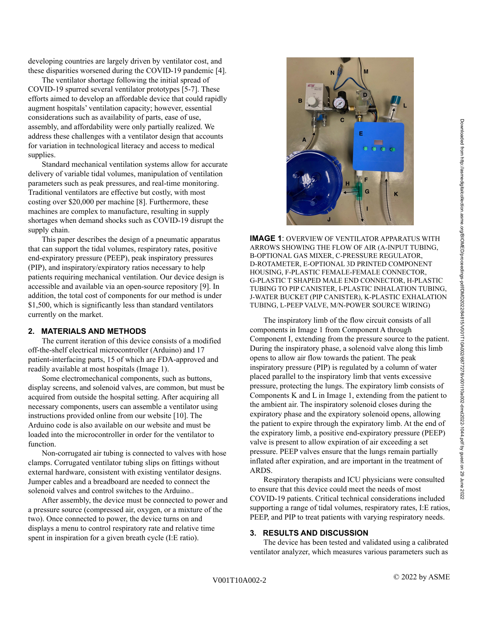developing countries are largely driven by ventilator cost, and these disparities worsened during the COVID-19 pandemic [4].

The ventilator shortage following the initial spread of COVID-19 spurred several ventilator prototypes [5-7]. These efforts aimed to develop an affordable device that could rapidly augment hospitals' ventilation capacity; however, essential considerations such as availability of parts, ease of use, assembly, and affordability were only partially realized. We address these challenges with a ventilator design that accounts for variation in technological literacy and access to medical supplies.

Standard mechanical ventilation systems allow for accurate delivery of variable tidal volumes, manipulation of ventilation parameters such as peak pressures, and real-time monitoring. Traditional ventilators are effective but costly, with most costing over \$20,000 per machine [8]. Furthermore, these machines are complex to manufacture, resulting in supply shortages when demand shocks such as COVID-19 disrupt the supply chain.

This paper describes the design of a pneumatic apparatus that can support the tidal volumes, respiratory rates, positive end-expiratory pressure (PEEP), peak inspiratory pressures (PIP), and inspiratory/expiratory ratios necessary to help patients requiring mechanical ventilation. Our device design is accessible and available via an open-source repository [9]. In addition, the total cost of components for our method is under \$1,500, which is significantly less than standard ventilators currently on the market.

# **2. MATERIALS AND METHODS**

The current iteration of this device consists of a modified off-the-shelf electrical microcontroller (Arduino) and 17 patient-interfacing parts, 15 of which are FDA-approved and readily available at most hospitals (Image 1).

Some electromechanical components, such as buttons, display screens, and solenoid valves, are common, but must be acquired from outside the hospital setting. After acquiring all necessary components, users can assemble a ventilator using instructions provided online from our website [10]. The Arduino code is also available on our website and must be loaded into the microcontroller in order for the ventilator to function.

Non-corrugated air tubing is connected to valves with hose clamps. Corrugated ventilator tubing slips on fittings without external hardware, consistent with existing ventilator designs. Jumper cables and a breadboard are needed to connect the solenoid valves and control switches to the Arduino..

After assembly, the device must be connected to power and a pressure source (compressed air, oxygen, or a mixture of the two). Once connected to power, the device turns on and displays a menu to control respiratory rate and relative time spent in inspiration for a given breath cycle (I:E ratio).



**IMAGE 1**: OVERVIEW OF VENTILATOR APPARATUS WITH ARROWS SHOWING THE FLOW OF AIR (A-INPUT TUBING, B-OPTIONAL GAS MIXER, C-PRESSURE REGULATOR, D-ROTAMETER, E-OPTIONAL 3D PRINTED COMPONENT HOUSING, F-PLASTIC FEMALE-FEMALE CONNECTOR, G-PLASTIC T SHAPED MALE END CONNECTOR, H-PLASTIC TUBING TO PIP CANISTER, I-PLASTIC INHALATION TUBING, J-WATER BUCKET (PIP CANISTER), K-PLASTIC EXHALATION TUBING, L-PEEP VALVE, M/N-POWER SOURCE WIRING)

The inspiratory limb of the flow circuit consists of all components in Image 1 from Component A through Component I, extending from the pressure source to the patient. During the inspiratory phase, a solenoid valve along this limb opens to allow air flow towards the patient. The peak inspiratory pressure (PIP) is regulated by a column of water placed parallel to the inspiratory limb that vents excessive pressure, protecting the lungs. The expiratory limb consists of Components K and L in Image 1, extending from the patient to the ambient air. The inspiratory solenoid closes during the expiratory phase and the expiratory solenoid opens, allowing the patient to expire through the expiratory limb. At the end of the expiratory limb, a positive end-expiratory pressure (PEEP) valve is present to allow expiration of air exceeding a set pressure. PEEP valves ensure that the lungs remain partially inflated after expiration, and are important in the treatment of **ARDS** 

Respiratory therapists and ICU physicians were consulted to ensure that this device could meet the needs of most COVID-19 patients. Critical technical considerations included supporting a range of tidal volumes, respiratory rates, I:E ratios, PEEP, and PIP to treat patients with varying respiratory needs.

#### **3. RESULTS AND DISCUSSION**

The device has been tested and validated using a calibrated ventilator analyzer, which measures various parameters such as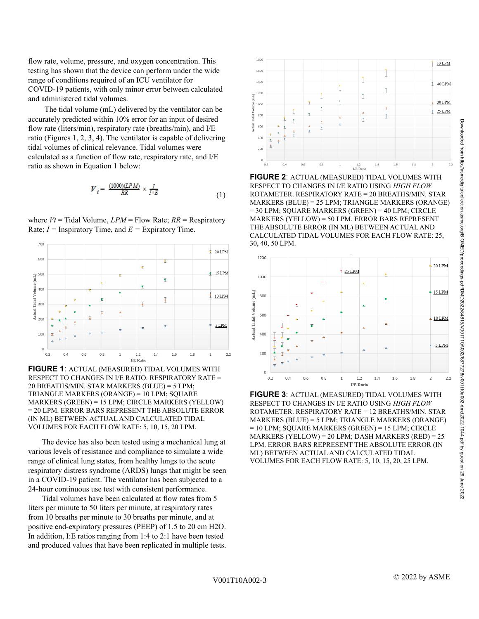Ť  $06$ I/E Rati **FIGURE 2**: ACTUAL (MEASURED) TIDAL VOLUMES WITH

1800

1600 1400

120

1000

 $0.2$ 

 $0.4$ 

idal Ve 800

ctual<sup>-</sup> 600 400

RESPECT TO CHANGES IN I/E RATIO USING *HIGH FLOW* ROTAMETER. RESPIRATORY RATE = 20 BREATHS/MIN. STAR MARKERS (BLUE) = 25 LPM; TRIANGLE MARKERS (ORANGE) = 30 LPM; SQUARE MARKERS (GREEN) = 40 LPM; CIRCLE MARKERS (YELLOW) = 50 LPM. ERROR BARS REPRESENT THE ABSOLUTE ERROR (IN ML) BETWEEN ACTUAL AND CALCULATED TIDAL VOLUMES FOR EACH FLOW RATE: 25, 30, 40, 50 LPM.



**FIGURE 3**: ACTUAL (MEASURED) TIDAL VOLUMES WITH RESPECT TO CHANGES IN I/E RATIO USING *HIGH FLOW* ROTAMETER. RESPIRATORY RATE = 12 BREATHS/MIN. STAR MARKERS (BLUE) = 5 LPM; TRIANGLE MARKERS (ORANGE) = 10 LPM; SQUARE MARKERS (GREEN) = 15 LPM; CIRCLE MARKERS (YELLOW) = 20 LPM; DASH MARKERS (RED) = 25 LPM. ERROR BARS REPRESENT THE ABSOLUTE ERROR (IN ML) BETWEEN ACTUAL AND CALCULATED TIDAL VOLUMES FOR EACH FLOW RATE: 5, 10, 15, 20, 25 LPM.

flow rate, volume, pressure, and oxygen concentration. This testing has shown that the device can perform under the wide range of conditions required of an ICU ventilator for COVID-19 patients, with only minor error between calculated and administered tidal volumes.

The tidal volume (mL) delivered by the ventilator can be accurately predicted within 10% error for an input of desired flow rate (liters/min), respiratory rate (breaths/min), and I/E ratio (Figures 1, 2, 3, 4). The ventilator is capable of delivering tidal volumes of clinical relevance. Tidal volumes were calculated as a function of flow rate, respiratory rate, and I/E ratio as shown in Equation 1 below:

$$
V_t = \frac{(1000)(LPM)}{RR} \times \frac{I}{I+E}
$$
 (1)

where  $Vt$  = Tidal Volume,  $LPM$  = Flow Rate;  $RR$  = Respiratory Rate;  $I =$  Inspiratory Time, and  $E =$  Expiratory Time.



**FIGURE 1**: ACTUAL (MEASURED) TIDAL VOLUMES WITH RESPECT TO CHANGES IN I/E RATIO. RESPIRATORY RATE = 20 BREATHS/MIN. STAR MARKERS (BLUE) = 5 LPM; TRIANGLE MARKERS (ORANGE) = 10 LPM; SQUARE MARKERS (GREEN) = 15 LPM; CIRCLE MARKERS (YELLOW) = 20 LPM. ERROR BARS REPRESENT THE ABSOLUTE ERROR (IN ML) BETWEEN ACTUAL AND CALCULATED TIDAL VOLUMES FOR EACH FLOW RATE: 5, 10, 15, 20 LPM.

The device has also been tested using a mechanical lung at various levels of resistance and compliance to simulate a wide range of clinical lung states, from healthy lungs to the acute respiratory distress syndrome (ARDS) lungs that might be seen in a COVID-19 patient. The ventilator has been subjected to a 24-hour continuous use test with consistent performance.

Tidal volumes have been calculated at flow rates from 5 liters per minute to 50 liters per minute, at respiratory rates from 10 breaths per minute to 30 breaths per minute, and at positive end-expiratory pressures (PEEP) of 1.5 to 20 cm H2O. In addition, I:E ratios ranging from 1:4 to 2:1 have been tested and produced values that have been replicated in multiple tests. 50 LPM

40 LPM

30 LPM

25 LPM

 $2.2$ 

 $\ddot{\tau}$ 

 $\overline{1}$ 

 $16$ 

 $1.8$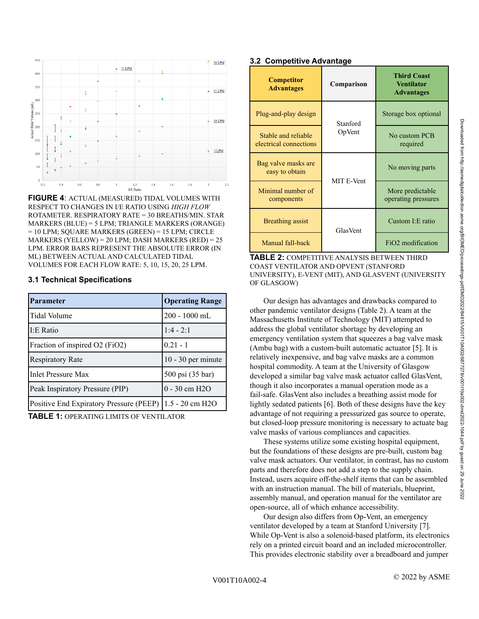

**FIGURE 4**: ACTUAL (MEASURED) TIDAL VOLUMES WITH RESPECT TO CHANGES IN I/E RATIO USING *HIGH FLOW* ROTAMETER. RESPIRATORY RATE = 30 BREATHS/MIN. STAR MARKERS (BLUE) = 5 LPM; TRIANGLE MARKERS (ORANGE) = 10 LPM; SQUARE MARKERS (GREEN) = 15 LPM; CIRCLE MARKERS (YELLOW) = 20 LPM; DASH MARKERS (RED) = 25 LPM. ERROR BARS REPRESENT THE ABSOLUTE ERROR (IN ML) BETWEEN ACTUAL AND CALCULATED TIDAL VOLUMES FOR EACH FLOW RATE: 5, 10, 15, 20, 25 LPM.

# **3.1 Technical Specifications**

| <b>Parameter</b>                        | <b>Operating Range</b> |
|-----------------------------------------|------------------------|
| Tidal Volume                            | 200 - 1000 mL          |
| I:E Ratio                               | $1:4 - 2:1$            |
| Fraction of inspired O2 (FiO2)          | $0.21 - 1$             |
| <b>Respiratory Rate</b>                 | $10 - 30$ per minute   |
| <b>Inlet Pressure Max</b>               | 500 psi (35 bar)       |
| Peak Inspiratory Pressure (PIP)         | $0 - 30$ cm $H2O$      |
| Positive End Expiratory Pressure (PEEP) | 1.5 - 20 cm H2O        |

**TABLE 1:** OPERATING LIMITS OF VENTILATOR

# **3.2 Competitive Advantage**

| <b>Competitor</b><br><b>Advantages</b>        | Comparison | <b>Third Coast</b><br><b>Ventilator</b><br><b>Advantages</b> |
|-----------------------------------------------|------------|--------------------------------------------------------------|
| Plug-and-play design                          | Stanford   | Storage box optional                                         |
| Stable and reliable<br>electrical connections | OpVent     | No custom PCB<br>required                                    |
| Bag valve masks are<br>easy to obtain         | MIT E-Vent | No moving parts                                              |
| Minimal number of<br>components               |            | More predictable<br>operating pressures                      |
| Breathing assist                              | GlasVent   | Custom I: E ratio                                            |
| Manual fall-back                              |            | FiO <sub>2</sub> modification                                |

**TABLE 2:** COMPETITIVE ANALYSIS BETWEEN THIRD COAST VENTILATOR AND OPVENT (STANFORD UNIVERSITY), E-VENT (MIT), AND GLASVENT (UNIVERSITY OF GLASGOW)

Our design has advantages and drawbacks compared to other pandemic ventilator designs (Table 2). A team at the Massachusetts Institute of Technology (MIT) attempted to address the global ventilator shortage by developing an emergency ventilation system that squeezes a bag valve mask (Ambu bag) with a custom-built automatic actuator [5]. It is relatively inexpensive, and bag valve masks are a common hospital commodity. A team at the University of Glasgow developed a similar bag valve mask actuator called GlasVent, though it also incorporates a manual operation mode as a fail-safe. GlasVent also includes a breathing assist mode for lightly sedated patients [6]. Both of these designs have the key advantage of not requiring a pressurized gas source to operate, but closed-loop pressure monitoring is necessary to actuate bag valve masks of various compliances and capacities.

These systems utilize some existing hospital equipment, but the foundations of these designs are pre-built, custom bag valve mask actuators. Our ventilator, in contrast, has no custom parts and therefore does not add a step to the supply chain. Instead, users acquire off-the-shelf items that can be assembled with an instruction manual. The bill of materials, blueprint, assembly manual, and operation manual for the ventilator are open-source, all of which enhance accessibility.

Our design also differs from Op-Vent, an emergency ventilator developed by a team at Stanford University [7]. While Op-Vent is also a solenoid-based platform, its electronics rely on a printed circuit board and an included microcontroller. This provides electronic stability over a breadboard and jumper